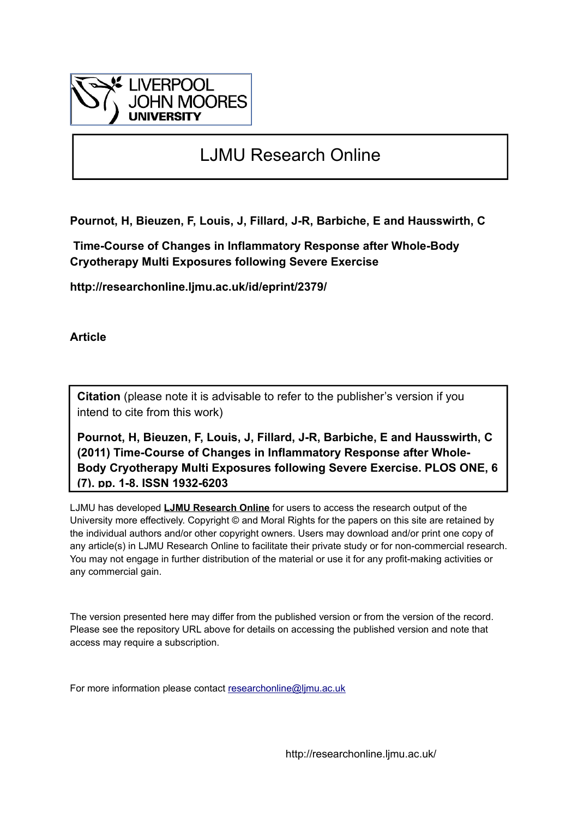

## LJMU Research Online

**Pournot, H, Bieuzen, F, Louis, J, Fillard, J-R, Barbiche, E and Hausswirth, C**

 **Time-Course of Changes in Inflammatory Response after Whole-Body Cryotherapy Multi Exposures following Severe Exercise**

**http://researchonline.ljmu.ac.uk/id/eprint/2379/**

**Article**

**Citation** (please note it is advisable to refer to the publisher's version if you intend to cite from this work)

**Pournot, H, Bieuzen, F, Louis, J, Fillard, J-R, Barbiche, E and Hausswirth, C (2011) Time-Course of Changes in Inflammatory Response after Whole-Body Cryotherapy Multi Exposures following Severe Exercise. PLOS ONE, 6 (7). pp. 1-8. ISSN 1932-6203** 

LJMU has developed **[LJMU Research Online](http://researchonline.ljmu.ac.uk/)** for users to access the research output of the University more effectively. Copyright © and Moral Rights for the papers on this site are retained by the individual authors and/or other copyright owners. Users may download and/or print one copy of any article(s) in LJMU Research Online to facilitate their private study or for non-commercial research. You may not engage in further distribution of the material or use it for any profit-making activities or any commercial gain.

The version presented here may differ from the published version or from the version of the record. Please see the repository URL above for details on accessing the published version and note that access may require a subscription.

For more information please contact [researchonline@ljmu.ac.uk](mailto:researchonline@ljmu.ac.uk)

http://researchonline.ljmu.ac.uk/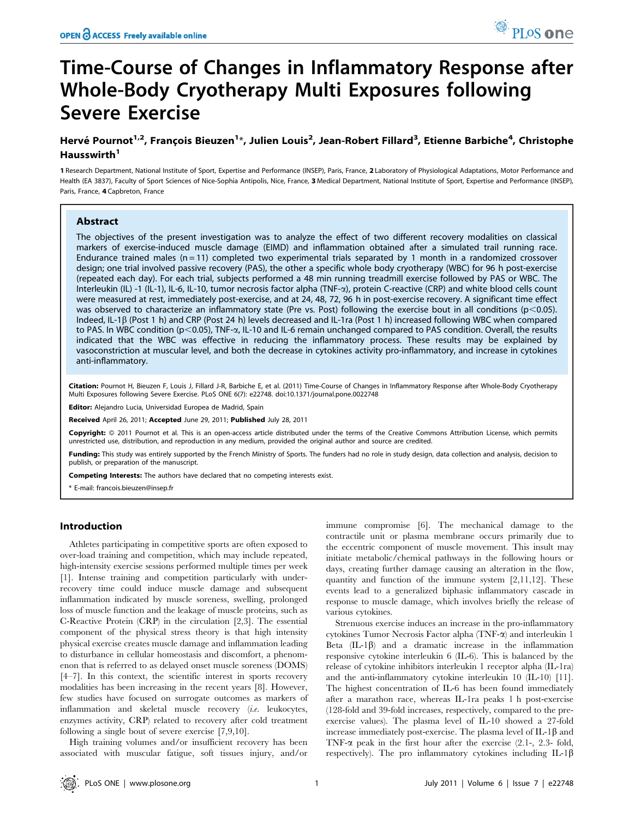# Time-Course of Changes in Inflammatory Response after Whole-Body Cryotherapy Multi Exposures following Severe Exercise

### Hervé Pournot<sup>1,2</sup>, François Bieuzen<sup>1</sup>\*, Julien Louis<sup>2</sup>, Jean-Robert Fillard<sup>3</sup>, Etienne Barbiche<sup>4</sup>, Christophe  $H$ ausswirth $<sup>1</sup>$ </sup>

1 Research Department, National Institute of Sport, Expertise and Performance (INSEP), Paris, France, 2 Laboratory of Physiological Adaptations, Motor Performance and Health (EA 3837), Faculty of Sport Sciences of Nice-Sophia Antipolis, Nice, France, 3 Medical Department, National Institute of Sport, Expertise and Performance (INSEP), Paris, France, 4 Capbreton, France

#### Abstract

The objectives of the present investigation was to analyze the effect of two different recovery modalities on classical markers of exercise-induced muscle damage (EIMD) and inflammation obtained after a simulated trail running race. Endurance trained males ( $n = 11$ ) completed two experimental trials separated by 1 month in a randomized crossover design; one trial involved passive recovery (PAS), the other a specific whole body cryotherapy (WBC) for 96 h post-exercise (repeated each day). For each trial, subjects performed a 48 min running treadmill exercise followed by PAS or WBC. The Interleukin (IL) -1 (IL-1), IL-6, IL-10, tumor necrosis factor alpha (TNF-a), protein C-reactive (CRP) and white blood cells count were measured at rest, immediately post-exercise, and at 24, 48, 72, 96 h in post-exercise recovery. A significant time effect was observed to characterize an inflammatory state (Pre vs. Post) following the exercise bout in all conditions ( $p<0.05$ ). Indeed, IL-1 $\beta$  (Post 1 h) and CRP (Post 24 h) levels decreased and IL-1ra (Post 1 h) increased following WBC when compared to PAS. In WBC condition ( $p<0.05$ ), TNF- $\alpha$ , IL-10 and IL-6 remain unchanged compared to PAS condition. Overall, the results indicated that the WBC was effective in reducing the inflammatory process. These results may be explained by vasoconstriction at muscular level, and both the decrease in cytokines activity pro-inflammatory, and increase in cytokines anti-inflammatory.

Citation: Pournot H, Bieuzen F, Louis J, Fillard J-R, Barbiche E, et al. (2011) Time-Course of Changes in Inflammatory Response after Whole-Body Cryotherapy Multi Exposures following Severe Exercise. PLoS ONE 6(7): e22748. doi:10.1371/journal.pone.0022748

Editor: Alejandro Lucia, Universidad Europea de Madrid, Spain

Received April 26, 2011; Accepted June 29, 2011; Published July 28, 2011

Copyright: © 2011 Pournot et al. This is an open-access article distributed under the terms of the Creative Commons Attribution License, which permits unrestricted use, distribution, and reproduction in any medium, provided the original author and source are credited.

Funding: This study was entirely supported by the French Ministry of Sports. The funders had no role in study design, data collection and analysis, decision to publish, or preparation of the manuscript.

Competing Interests: The authors have declared that no competing interests exist.

\* E-mail: francois.bieuzen@insep.fr

### Introduction

Athletes participating in competitive sports are often exposed to over-load training and competition, which may include repeated, high-intensity exercise sessions performed multiple times per week [1]. Intense training and competition particularly with underrecovery time could induce muscle damage and subsequent inflammation indicated by muscle soreness, swelling, prolonged loss of muscle function and the leakage of muscle proteins, such as C-Reactive Protein (CRP) in the circulation [2,3]. The essential component of the physical stress theory is that high intensity physical exercise creates muscle damage and inflammation leading to disturbance in cellular homeostasis and discomfort, a phenomenon that is referred to as delayed onset muscle soreness (DOMS) [4–7]. In this context, the scientific interest in sports recovery modalities has been increasing in the recent years [8]. However, few studies have focused on surrogate outcomes as markers of inflammation and skeletal muscle recovery (i.e. leukocytes, enzymes activity, CRP) related to recovery after cold treatment following a single bout of severe exercise [7,9,10].

High training volumes and/or insufficient recovery has been associated with muscular fatigue, soft tissues injury, and/or

immune compromise [6]. The mechanical damage to the contractile unit or plasma membrane occurs primarily due to the eccentric component of muscle movement. This insult may initiate metabolic/chemical pathways in the following hours or days, creating further damage causing an alteration in the flow, quantity and function of the immune system [2,11,12]. These events lead to a generalized biphasic inflammatory cascade in response to muscle damage, which involves briefly the release of various cytokines.

Strenuous exercise induces an increase in the pro-inflammatory cytokines Tumor Necrosis Factor alpha (TNF-a) and interleukin 1 Beta  $(IL-1\beta)$  and a dramatic increase in the inflammation responsive cytokine interleukin 6 (IL-6). This is balanced by the release of cytokine inhibitors interleukin 1 receptor alpha (IL-1ra) and the anti-inflammatory cytokine interleukin 10 (IL-10) [11]. The highest concentration of IL-6 has been found immediately after a marathon race, whereas IL-1ra peaks 1 h post-exercise (128-fold and 39-fold increases, respectively, compared to the preexercise values). The plasma level of IL-10 showed a 27-fold increase immediately post-exercise. The plasma level of  $IL-1\beta$  and TNF- $\alpha$  peak in the first hour after the exercise (2.1-, 2.3- fold, respectively). The pro inflammatory cytokines including IL-1 $\beta$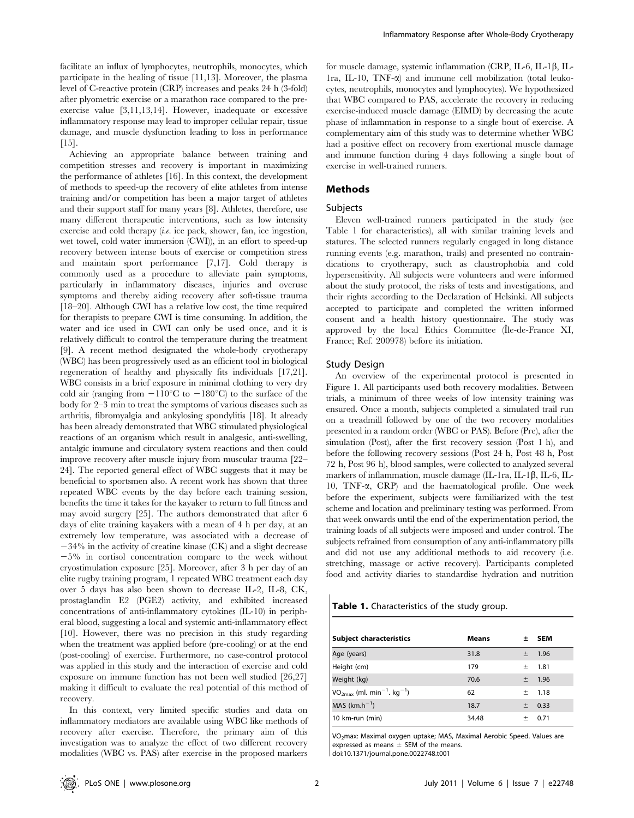facilitate an influx of lymphocytes, neutrophils, monocytes, which participate in the healing of tissue [11,13]. Moreover, the plasma level of C-reactive protein (CRP) increases and peaks 24 h (3-fold) after plyometric exercise or a marathon race compared to the preexercise value [3,11,13,14]. However, inadequate or excessive inflammatory response may lead to improper cellular repair, tissue damage, and muscle dysfunction leading to loss in performance [15].

Achieving an appropriate balance between training and competition stresses and recovery is important in maximizing the performance of athletes [16]. In this context, the development of methods to speed-up the recovery of elite athletes from intense training and/or competition has been a major target of athletes and their support staff for many years [8]. Athletes, therefore, use many different therapeutic interventions, such as low intensity exercise and cold therapy (i.e. ice pack, shower, fan, ice ingestion, wet towel, cold water immersion (CWI)), in an effort to speed-up recovery between intense bouts of exercise or competition stress and maintain sport performance [7,17]. Cold therapy is commonly used as a procedure to alleviate pain symptoms, particularly in inflammatory diseases, injuries and overuse symptoms and thereby aiding recovery after soft-tissue trauma [18–20]. Although CWI has a relative low cost, the time required for therapists to prepare CWI is time consuming. In addition, the water and ice used in CWI can only be used once, and it is relatively difficult to control the temperature during the treatment [9]. A recent method designated the whole-body cryotherapy (WBC) has been progressively used as an efficient tool in biological regeneration of healthy and physically fits individuals [17,21]. WBC consists in a brief exposure in minimal clothing to very dry cold air (ranging from  $-110^{\circ}$ C to  $-180^{\circ}$ C) to the surface of the body for 2–3 min to treat the symptoms of various diseases such as arthritis, fibromyalgia and ankylosing spondylitis [18]. It already has been already demonstrated that WBC stimulated physiological reactions of an organism which result in analgesic, anti-swelling, antalgic immune and circulatory system reactions and then could improve recovery after muscle injury from muscular trauma [22– 24]. The reported general effect of WBC suggests that it may be beneficial to sportsmen also. A recent work has shown that three repeated WBC events by the day before each training session, benefits the time it takes for the kayaker to return to full fitness and may avoid surgery [25]. The authors demonstrated that after 6 days of elite training kayakers with a mean of 4 h per day, at an extremely low temperature, was associated with a decrease of  $-34\%$  in the activity of creatine kinase (CK) and a slight decrease  $-5\%$  in cortisol concentration compare to the week without cryostimulation exposure [25]. Moreover, after 3 h per day of an elite rugby training program, 1 repeated WBC treatment each day over 5 days has also been shown to decrease IL-2, IL-8, CK, prostaglandin E2 (PGE2) activity, and exhibited increased concentrations of anti-inflammatory cytokines (IL-10) in peripheral blood, suggesting a local and systemic anti-inflammatory effect [10]. However, there was no precision in this study regarding when the treatment was applied before (pre-cooling) or at the end (post-cooling) of exercise. Furthermore, no case-control protocol was applied in this study and the interaction of exercise and cold exposure on immune function has not been well studied [26,27] making it difficult to evaluate the real potential of this method of recovery.

In this context, very limited specific studies and data on inflammatory mediators are available using WBC like methods of recovery after exercise. Therefore, the primary aim of this investigation was to analyze the effect of two different recovery modalities (WBC vs. PAS) after exercise in the proposed markers

for muscle damage, systemic inflammation (CRP, IL-6, IL-1 $\beta$ , IL-1ra, IL-10, TNF- $\alpha$ ) and immune cell mobilization (total leukocytes, neutrophils, monocytes and lymphocytes). We hypothesized that WBC compared to PAS, accelerate the recovery in reducing exercise-induced muscle damage (EIMD) by decreasing the acute phase of inflammation in response to a single bout of exercise. A complementary aim of this study was to determine whether WBC had a positive effect on recovery from exertional muscle damage and immune function during 4 days following a single bout of exercise in well-trained runners.

#### Methods

#### Subjects

Eleven well-trained runners participated in the study (see Table 1 for characteristics), all with similar training levels and statures. The selected runners regularly engaged in long distance running events (e.g. marathon, trails) and presented no contraindications to cryotherapy, such as claustrophobia and cold hypersensitivity. All subjects were volunteers and were informed about the study protocol, the risks of tests and investigations, and their rights according to the Declaration of Helsinki. All subjects accepted to participate and completed the written informed consent and a health history questionnaire. The study was approved by the local Ethics Committee (Ile-de-France XI, France; Ref. 200978) before its initiation.

#### Study Design

An overview of the experimental protocol is presented in Figure 1. All participants used both recovery modalities. Between trials, a minimum of three weeks of low intensity training was ensured. Once a month, subjects completed a simulated trail run on a treadmill followed by one of the two recovery modalities presented in a random order (WBC or PAS). Before (Pre), after the simulation (Post), after the first recovery session (Post 1 h), and before the following recovery sessions (Post 24 h, Post 48 h, Post 72 h, Post 96 h), blood samples, were collected to analyzed several markers of inflammation, muscle damage (IL-1ra, IL-1 $\beta$ , IL-6, IL-10, TNF-a, CRP) and the haematological profile. One week before the experiment, subjects were familiarized with the test scheme and location and preliminary testing was performed. From that week onwards until the end of the experimentation period, the training loads of all subjects were imposed and under control. The subjects refrained from consumption of any anti-inflammatory pills and did not use any additional methods to aid recovery (i.e. stretching, massage or active recovery). Participants completed food and activity diaries to standardise hydration and nutrition

Table 1. Characteristics of the study group.

| Subject characteristics                                 | <b>Means</b> | 士     | <b>SEM</b> |
|---------------------------------------------------------|--------------|-------|------------|
| Age (years)                                             | 31.8         | 土     | 1.96       |
| Height (cm)                                             | 179          | 士     | 1.81       |
| Weight (kg)                                             | 70.6         | $\pm$ | 1.96       |
| $VO_{2max}$ (ml. min <sup>-1</sup> . kg <sup>-1</sup> ) | 62           | 士     | 1.18       |
| $MAS$ (km.h <sup>-1</sup> )                             | 18.7         | $\pm$ | 0.33       |
| 10 km-run (min)                                         | 34.48        | 士     | 0.71       |

VO2max: Maximal oxygen uptake; MAS, Maximal Aerobic Speed. Values are expressed as means  $\pm$  SEM of the means.

doi:10.1371/journal.pone.0022748.t001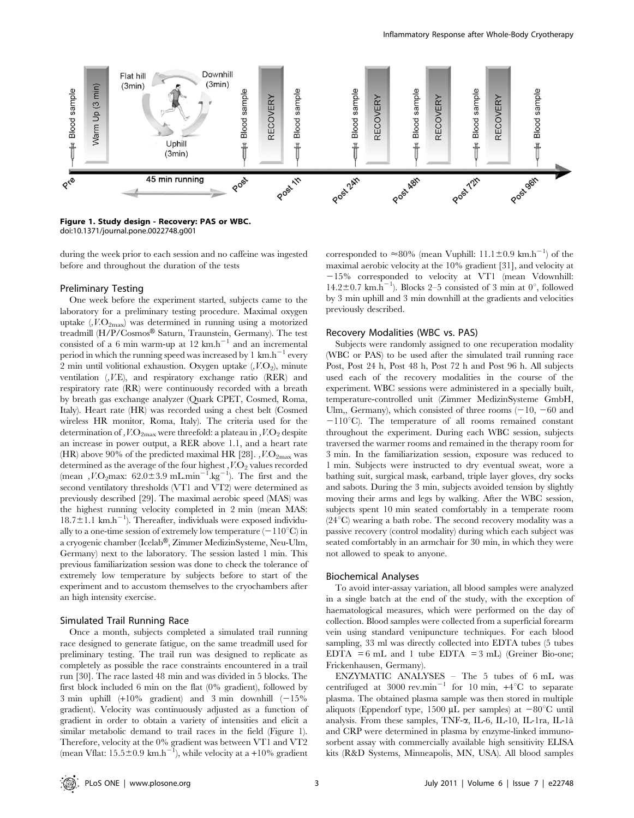

Figure 1. Study design - Recovery: PAS or WBC. doi:10.1371/journal.pone.0022748.g001

during the week prior to each session and no caffeine was ingested before and throughout the duration of the tests

#### Preliminary Testing

One week before the experiment started, subjects came to the laboratory for a preliminary testing procedure. Maximal oxygen uptake  $(V.\mathcal{O}_{2\text{max}})$  was determined in running using a motorized treadmill (H/P/Cosmos® Saturn, Traunstein, Germany). The test consisted of a 6 min warm-up at 12  $km.h^{-1}$  and an incremental period in which the running speed was increased by 1  $km.h^{-1}$  every 2 min until volitional exhaustion. Oxygen uptake  $(V.O<sub>2</sub>)$ , minute ventilation (,V.E), and respiratory exchange ratio (RER) and respiratory rate (RR) were continuously recorded with a breath by breath gas exchange analyzer (Quark CPET, Cosmed, Roma, Italy). Heart rate (HR) was recorded using a chest belt (Cosmed wireless HR monitor, Roma, Italy). The criteria used for the determination of ,  $V.\text{O}_{2\text{max}}$  were threefold: a plateau in ,  $V.\text{O}_2$  despite an increase in power output, a RER above 1.1, and a heart rate (HR) above 90% of the predicted maximal HR [28]. ,  $V.\text{O}_{2\text{max}}$  was determined as the average of the four highest  $\,$ ,  $V.\mathrm{O}_2$  values recorded (mean ,  $V.\text{O}_2$ max:  $62.0 \pm 3.9 \text{ mL.min}^{-1}$ .  $\text{kg}^{-1}$ ). The first and the second ventilatory thresholds (VT1 and VT2) were determined as previously described [29]. The maximal aerobic speed (MAS) was the highest running velocity completed in 2 min (mean MAS:  $18.7 \pm 1.1$  km.h<sup>-1</sup>). Thereafter, individuals were exposed individually to a one-time session of extremely low temperature  $(-110^{\circ}C)$  in a cryogenic chamber (Icelab®, Zimmer MedizinSysteme, Neu-Ulm, Germany) next to the laboratory. The session lasted 1 min. This previous familiarization session was done to check the tolerance of extremely low temperature by subjects before to start of the experiment and to accustom themselves to the cryochambers after an high intensity exercise.

#### Simulated Trail Running Race

Once a month, subjects completed a simulated trail running race designed to generate fatigue, on the same treadmill used for preliminary testing. The trail run was designed to replicate as completely as possible the race constraints encountered in a trail run [30]. The race lasted 48 min and was divided in 5 blocks. The first block included 6 min on the flat (0% gradient), followed by 3 min uphill  $(+10\%$  gradient) and 3 min downhill  $(-15\%$ gradient). Velocity was continuously adjusted as a function of gradient in order to obtain a variety of intensities and elicit a similar metabolic demand to trail races in the field (Figure 1). Therefore, velocity at the 0% gradient was between VT1 and VT2 (mean Vflat:  $15.5 \pm 0.9 \text{ km.h}^{-1}$ ), while velocity at a +10% gradient

corresponded to  $\approx 80\%$  (mean Vuphill:  $11.1 \pm 0.9$  km.h<sup>-1</sup>) of the maximal aerobic velocity at the 10% gradient [31], and velocity at  $-15\%$  corresponded to velocity at VT1 (mean Vdownhill: 14.2 $\pm$ 0.7 km.h<sup>-1</sup>). Blocks 2-5 consisted of 3 min at 0°, followed by 3 min uphill and 3 min downhill at the gradients and velocities previously described.

#### Recovery Modalities (WBC vs. PAS)

Subjects were randomly assigned to one recuperation modality (WBC or PAS) to be used after the simulated trail running race Post, Post 24 h, Post 48 h, Post 72 h and Post 96 h. All subjects used each of the recovery modalities in the course of the experiment. WBC sessions were administered in a specially built, temperature-controlled unit (Zimmer MedizinSysteme GmbH, Ulm,, Germany), which consisted of three rooms  $(-10, -60, -60)$  $-110^{\circ}$ C). The temperature of all rooms remained constant throughout the experiment. During each WBC session, subjects traversed the warmer rooms and remained in the therapy room for 3 min. In the familiarization session, exposure was reduced to 1 min. Subjects were instructed to dry eventual sweat, wore a bathing suit, surgical mask, earband, triple layer gloves, dry socks and sabots. During the 3 min, subjects avoided tension by slightly moving their arms and legs by walking. After the WBC session, subjects spent 10 min seated comfortably in a temperate room  $(24^{\circ}C)$  wearing a bath robe. The second recovery modality was a passive recovery (control modality) during which each subject was seated comfortably in an armchair for 30 min, in which they were not allowed to speak to anyone.

#### Biochemical Analyses

To avoid inter-assay variation, all blood samples were analyzed in a single batch at the end of the study, with the exception of haematological measures, which were performed on the day of collection. Blood samples were collected from a superficial forearm vein using standard venipuncture techniques. For each blood sampling, 33 ml was directly collected into EDTA tubes (5 tubes EDTA =  $6$  mL and 1 tube EDTA =  $3$  mL) (Greiner Bio-one; Frickenhausen, Germany).

ENZYMATIC ANALYSES – The 5 tubes of 6 mL was centrifuged at 3000 rev.min<sup>-1</sup> for 10 min,  $+4^{\circ}$ C to separate plasma. The obtained plasma sample was then stored in multiple aliquots (Eppendorf type, 1500  $\mu$ L per samples) at  $-80^{\circ}$ C until analysis. From these samples, TNF- $\alpha$ , IL-6, IL-10, IL-1ra, IL-1â and CRP were determined in plasma by enzyme-linked immunosorbent assay with commercially available high sensitivity ELISA kits (R&D Systems, Minneapolis, MN, USA). All blood samples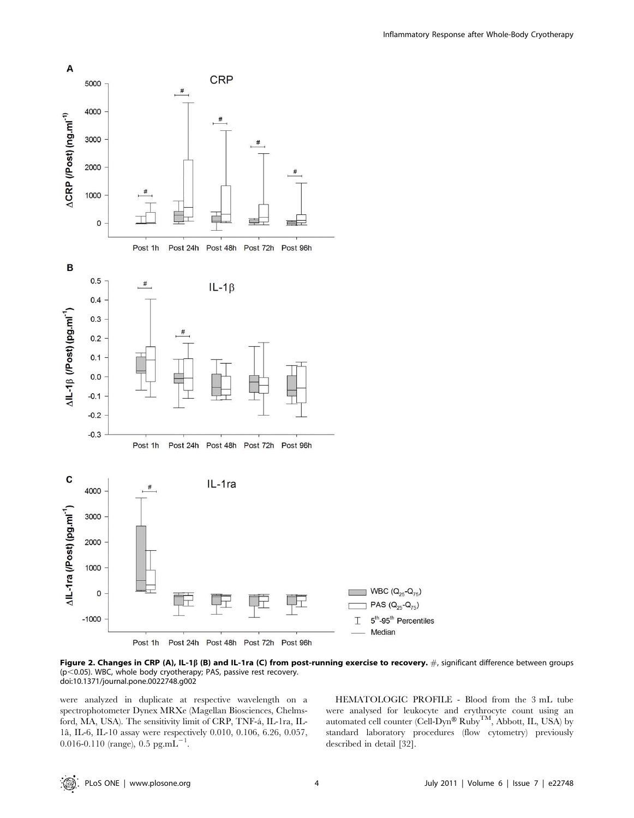

Figure 2. Changes in CRP (A), IL-1 $\beta$  (B) and IL-1ra (C) from post-running exercise to recovery. #, significant difference between groups ( $p$ <0.05). WBC, whole body cryotherapy; PAS, passive rest recovery. doi:10.1371/journal.pone.0022748.g002

were analyzed in duplicate at respective wavelength on a spectrophotometer Dynex MRXe (Magellan Biosciences, Chelmsford, MA, USA). The sensitivity limit of CRP, TNF-a´, IL-1ra, IL-1aˆ, IL-6, IL-10 assay were respectively 0.010, 0.106, 6.26, 0.057, 0.016-0.110 (range), 0.5 pg.m $\overline{L}^{-1}$ .

HEMATOLOGIC PROFILE - Blood from the 3 mL tube were analysed for leukocyte and erythrocyte count using an automated cell counter (Cell-Dyn®  $\text{Ruby}^{\text{TM}}, \text{Abbott}, \text{IL}, \text{USA}$ ) by standard laboratory procedures (flow cytometry) previously described in detail [32].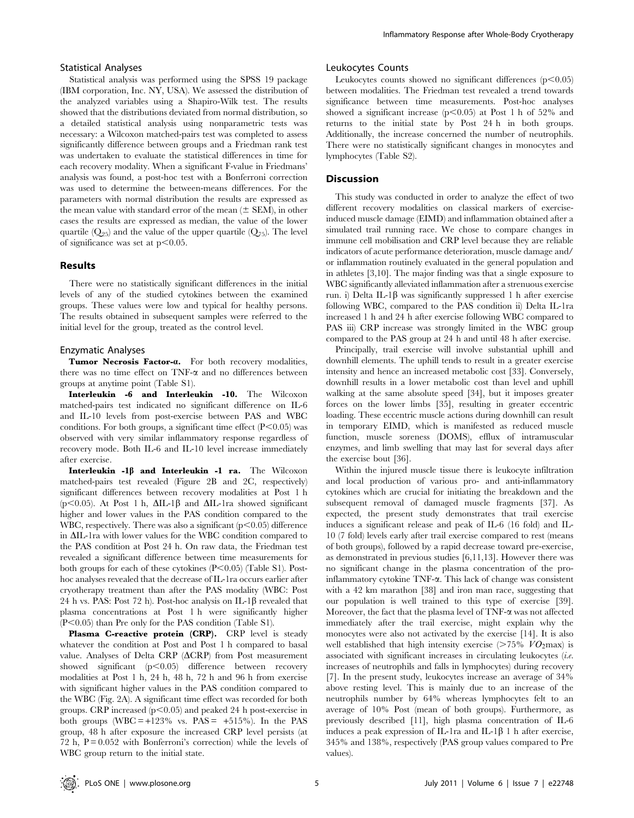#### Statistical Analyses

Statistical analysis was performed using the SPSS 19 package (IBM corporation, Inc. NY, USA). We assessed the distribution of the analyzed variables using a Shapiro-Wilk test. The results showed that the distributions deviated from normal distribution, so a detailed statistical analysis using nonparametric tests was necessary: a Wilcoxon matched-pairs test was completed to assess significantly difference between groups and a Friedman rank test was undertaken to evaluate the statistical differences in time for each recovery modality. When a significant F-value in Friedmans' analysis was found, a post-hoc test with a Bonferroni correction was used to determine the between-means differences. For the parameters with normal distribution the results are expressed as the mean value with standard error of the mean  $(\pm$  SEM), in other cases the results are expressed as median, the value of the lower quartile  $(Q_{25})$  and the value of the upper quartile  $(Q_{75})$ . The level of significance was set at  $p<0.05$ .

#### Results

There were no statistically significant differences in the initial levels of any of the studied cytokines between the examined groups. These values were low and typical for healthy persons. The results obtained in subsequent samples were referred to the initial level for the group, treated as the control level.

#### Enzymatic Analyses

Tumor Necrosis Factor-a. For both recovery modalities, there was no time effect on  $TNF-\alpha$  and no differences between groups at anytime point (Table S1).

Interleukin -6 and Interleukin -10. The Wilcoxon matched-pairs test indicated no significant difference on IL-6 and IL-10 levels from post-exercise between PAS and WBC conditions. For both groups, a significant time effect  $(P<0.05)$  was observed with very similar inflammatory response regardless of recovery mode. Both IL-6 and IL-10 level increase immediately after exercise.

Interleukin  $-I\beta$  and Interleukin -1 ra. The Wilcoxon matched-pairs test revealed (Figure 2B and 2C, respectively) significant differences between recovery modalities at Post 1 h ( $p$ <0.05). At Post 1 h,  $\Delta$ IL-1 $\beta$  and  $\Delta$ IL-1ra showed significant higher and lower values in the PAS condition compared to the WBC, respectively. There was also a significant  $(p<0.05)$  difference in  $\Delta$ IL-1ra with lower values for the WBC condition compared to the PAS condition at Post 24 h. On raw data, the Friedman test revealed a significant difference between time measurements for both groups for each of these cytokines  $(P<0.05)$  (Table S1). Posthoc analyses revealed that the decrease of IL-1ra occurs earlier after cryotherapy treatment than after the PAS modality (WBC: Post 24 h vs. PAS: Post 72 h). Post-hoc analysis on IL-1 $\beta$  revealed that plasma concentrations at Post 1 h were significantly higher  $(P<0.05)$  than Pre only for the PAS condition (Table S1).

Plasma C-reactive protein (CRP). CRP level is steady whatever the condition at Post and Post 1 h compared to basal value. Analyses of Delta CRP ( $\triangle$ CRP) from Post measurement showed significant  $(p<0.05)$  difference between recovery modalities at Post 1 h, 24 h, 48 h, 72 h and 96 h from exercise with significant higher values in the PAS condition compared to the WBC (Fig. 2A). A significant time effect was recorded for both groups. CRP increased  $(p<0.05)$  and peaked 24 h post-exercise in both groups (WBC = +123% vs.  $PAS = +515\%$ ). In the PAS group, 48 h after exposure the increased CRP level persists (at 72 h,  $P = 0.052$  with Bonferroni's correction) while the levels of WBC group return to the initial state.

#### Leukocytes Counts

Leukocytes counts showed no significant differences  $(p<0.05)$ between modalities. The Friedman test revealed a trend towards significance between time measurements. Post-hoc analyses showed a significant increase ( $p<0.05$ ) at Post 1 h of 52% and returns to the initial state by Post 24 h in both groups. Additionally, the increase concerned the number of neutrophils. There were no statistically significant changes in monocytes and lymphocytes (Table S2).

#### **Discussion**

This study was conducted in order to analyze the effect of two different recovery modalities on classical markers of exerciseinduced muscle damage (EIMD) and inflammation obtained after a simulated trail running race. We chose to compare changes in immune cell mobilisation and CRP level because they are reliable indicators of acute performance deterioration, muscle damage and/ or inflammation routinely evaluated in the general population and in athletes [3,10]. The major finding was that a single exposure to WBC significantly alleviated inflammation after a strenuous exercise run. i) Delta IL-1 $\beta$  was significantly suppressed 1 h after exercise following WBC, compared to the PAS condition ii) Delta IL-1ra increased 1 h and 24 h after exercise following WBC compared to PAS iii) CRP increase was strongly limited in the WBC group compared to the PAS group at 24 h and until 48 h after exercise.

Principally, trail exercise will involve substantial uphill and downhill elements. The uphill tends to result in a greater exercise intensity and hence an increased metabolic cost [33]. Conversely, downhill results in a lower metabolic cost than level and uphill walking at the same absolute speed [34], but it imposes greater forces on the lower limbs [35], resulting in greater eccentric loading. These eccentric muscle actions during downhill can result in temporary EIMD, which is manifested as reduced muscle function, muscle soreness (DOMS), efflux of intramuscular enzymes, and limb swelling that may last for several days after the exercise bout [36].

Within the injured muscle tissue there is leukocyte infiltration and local production of various pro- and anti-inflammatory cytokines which are crucial for initiating the breakdown and the subsequent removal of damaged muscle fragments [37]. As expected, the present study demonstrates that trail exercise induces a significant release and peak of IL-6 (16 fold) and IL-10 (7 fold) levels early after trail exercise compared to rest (means of both groups), followed by a rapid decrease toward pre-exercise, as demonstrated in previous studies [6,11,13]. However there was no significant change in the plasma concentration of the proinflammatory cytokine TNF-a. This lack of change was consistent with a 42 km marathon [38] and iron man race, suggesting that our population is well trained to this type of exercise [39]. Moreover, the fact that the plasma level of  $TNF-\alpha$  was not affected immediately after the trail exercise, might explain why the monocytes were also not activated by the exercise [14]. It is also well established that high intensity exercise ( $>75\%$   $VO<sub>2</sub>$ max) is associated with significant increases in circulating leukocytes (i.e. increases of neutrophils and falls in lymphocytes) during recovery [7]. In the present study, leukocytes increase an average of 34% above resting level. This is mainly due to an increase of the neutrophils number by 64% whereas lymphocytes felt to an average of 10% Post (mean of both groups). Furthermore, as previously described [11], high plasma concentration of IL-6 induces a peak expression of IL-1ra and IL-1 $\beta$  1 h after exercise, 345% and 138%, respectively (PAS group values compared to Pre values).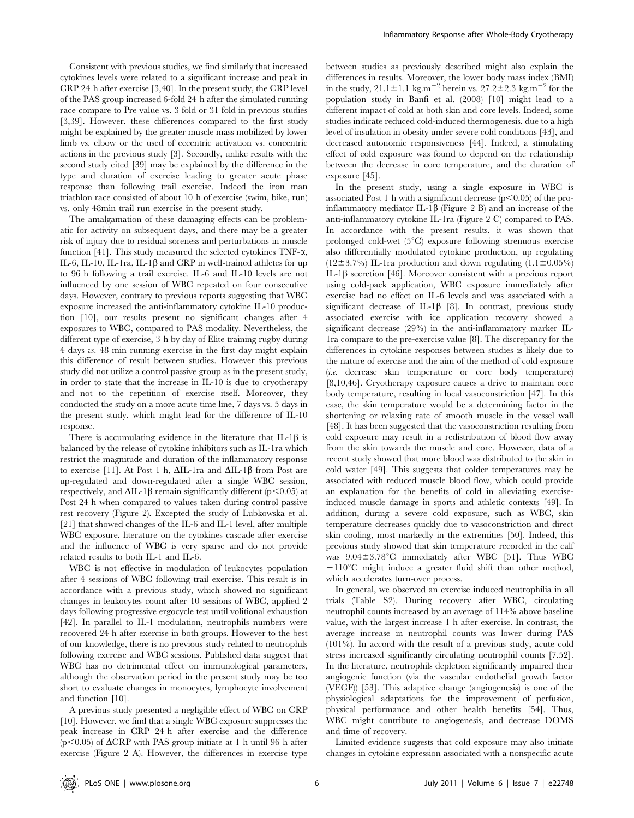Consistent with previous studies, we find similarly that increased cytokines levels were related to a significant increase and peak in CRP 24 h after exercise [3,40]. In the present study, the CRP level of the PAS group increased 6-fold 24 h after the simulated running race compare to Pre value vs. 3 fold or 31 fold in previous studies [3,39]. However, these differences compared to the first study might be explained by the greater muscle mass mobilized by lower limb vs. elbow or the used of eccentric activation vs. concentric actions in the previous study [3]. Secondly, unlike results with the second study cited [39] may be explained by the difference in the type and duration of exercise leading to greater acute phase response than following trail exercise. Indeed the iron man triathlon race consisted of about 10 h of exercise (swim, bike, run) vs. only 48min trail run exercise in the present study.

The amalgamation of these damaging effects can be problematic for activity on subsequent days, and there may be a greater risk of injury due to residual soreness and perturbations in muscle function [41]. This study measured the selected cytokines  $TNF-\alpha$ , IL-6, IL-10, IL-1ra, IL-1 $\beta$  and CRP in well-trained athletes for up to 96 h following a trail exercise. IL-6 and IL-10 levels are not influenced by one session of WBC repeated on four consecutive days. However, contrary to previous reports suggesting that WBC exposure increased the anti-inflammatory cytokine IL-10 production [10], our results present no significant changes after 4 exposures to WBC, compared to PAS modality. Nevertheless, the different type of exercise, 3 h by day of Elite training rugby during 4 days vs. 48 min running exercise in the first day might explain this difference of result between studies. However this previous study did not utilize a control passive group as in the present study, in order to state that the increase in IL-10 is due to cryotherapy and not to the repetition of exercise itself. Moreover, they conducted the study on a more acute time line, 7 days vs. 5 days in the present study, which might lead for the difference of IL-10 response.

There is accumulating evidence in the literature that IL-1 $\beta$  is balanced by the release of cytokine inhibitors such as IL-1ra which restrict the magnitude and duration of the inflammatory response to exercise [11]. At Post 1 h,  $\Delta I L$ -1ra and  $\Delta I L$ -1 $\beta$  from Post are up-regulated and down-regulated after a single WBC session, respectively, and  $\Delta$ IL-1 $\beta$  remain significantly different (p $\leq$ 0.05) at Post 24 h when compared to values taken during control passive rest recovery (Figure 2). Excepted the study of Lubkowska et al. [21] that showed changes of the IL-6 and IL-1 level, after multiple WBC exposure, literature on the cytokines cascade after exercise and the influence of WBC is very sparse and do not provide related results to both IL-1 and IL-6.

WBC is not effective in modulation of leukocytes population after 4 sessions of WBC following trail exercise. This result is in accordance with a previous study, which showed no significant changes in leukocytes count after 10 sessions of WBC, applied 2 days following progressive ergocycle test until volitional exhaustion [42]. In parallel to IL-1 modulation, neutrophils numbers were recovered 24 h after exercise in both groups. However to the best of our knowledge, there is no previous study related to neutrophils following exercise and WBC sessions. Published data suggest that WBC has no detrimental effect on immunological parameters, although the observation period in the present study may be too short to evaluate changes in monocytes, lymphocyte involvement and function [10].

A previous study presented a negligible effect of WBC on CRP [10]. However, we find that a single WBC exposure suppresses the peak increase in CRP 24 h after exercise and the difference  $(p<0.05)$  of  $\triangle$ CRP with PAS group initiate at 1 h until 96 h after exercise (Figure 2 A). However, the differences in exercise type between studies as previously described might also explain the differences in results. Moreover, the lower body mass index (BMI) in the study,  $21.1 \pm 1.1$  kg.m<sup>-2</sup> herein vs.  $27.2 \pm 2.3$  kg.m<sup>-2</sup> for the population study in Banfi et al. (2008) [10] might lead to a different impact of cold at both skin and core levels. Indeed, some studies indicate reduced cold-induced thermogenesis, due to a high level of insulation in obesity under severe cold conditions [43], and decreased autonomic responsiveness [44]. Indeed, a stimulating effect of cold exposure was found to depend on the relationship between the decrease in core temperature, and the duration of exposure [45].

In the present study, using a single exposure in WBC is associated Post 1 h with a significant decrease  $(p<0.05)$  of the proinflammatory mediator IL-1 $\beta$  (Figure 2 B) and an increase of the anti-inflammatory cytokine IL-1ra (Figure 2 C) compared to PAS. In accordance with the present results, it was shown that prolonged cold-wet  $(5^{\circ}C)$  exposure following strenuous exercise also differentially modulated cytokine production, up regulating  $(12\pm3.7\%)$  IL-1ra production and down regulating  $(1.1\pm0.05\%)$ IL-1 $\beta$  secretion [46]. Moreover consistent with a previous report using cold-pack application, WBC exposure immediately after exercise had no effect on IL-6 levels and was associated with a significant decrease of IL-1 $\beta$  [8]. In contrast, previous study associated exercise with ice application recovery showed a significant decrease (29%) in the anti-inflammatory marker IL-1ra compare to the pre-exercise value [8]. The discrepancy for the differences in cytokine responses between studies is likely due to the nature of exercise and the aim of the method of cold exposure (i.e. decrease skin temperature or core body temperature) [8,10,46]. Cryotherapy exposure causes a drive to maintain core body temperature, resulting in local vasoconstriction [47]. In this case, the skin temperature would be a determining factor in the shortening or relaxing rate of smooth muscle in the vessel wall [48]. It has been suggested that the vasoconstriction resulting from cold exposure may result in a redistribution of blood flow away from the skin towards the muscle and core. However, data of a recent study showed that more blood was distributed to the skin in cold water [49]. This suggests that colder temperatures may be associated with reduced muscle blood flow, which could provide an explanation for the benefits of cold in alleviating exerciseinduced muscle damage in sports and athletic contexts [49]. In addition, during a severe cold exposure, such as WBC, skin temperature decreases quickly due to vasoconstriction and direct skin cooling, most markedly in the extremities [50]. Indeed, this previous study showed that skin temperature recorded in the calf was  $9.04 \pm 3.78$ °C immediately after WBC [51]. Thus WBC  $-110^{\circ}$ C might induce a greater fluid shift than other method, which accelerates turn-over process.

In general, we observed an exercise induced neutrophilia in all trials (Table S2). During recovery after WBC, circulating neutrophil counts increased by an average of 114% above baseline value, with the largest increase 1 h after exercise. In contrast, the average increase in neutrophil counts was lower during PAS (101%). In accord with the result of a previous study, acute cold stress increased significantly circulating neutrophil counts [7,52]. In the literature, neutrophils depletion significantly impaired their angiogenic function (via the vascular endothelial growth factor (VEGF)) [53]. This adaptive change (angiogenesis) is one of the physiological adaptations for the improvement of perfusion, physical performance and other health benefits [54]. Thus, WBC might contribute to angiogenesis, and decrease DOMS and time of recovery.

Limited evidence suggests that cold exposure may also initiate changes in cytokine expression associated with a nonspecific acute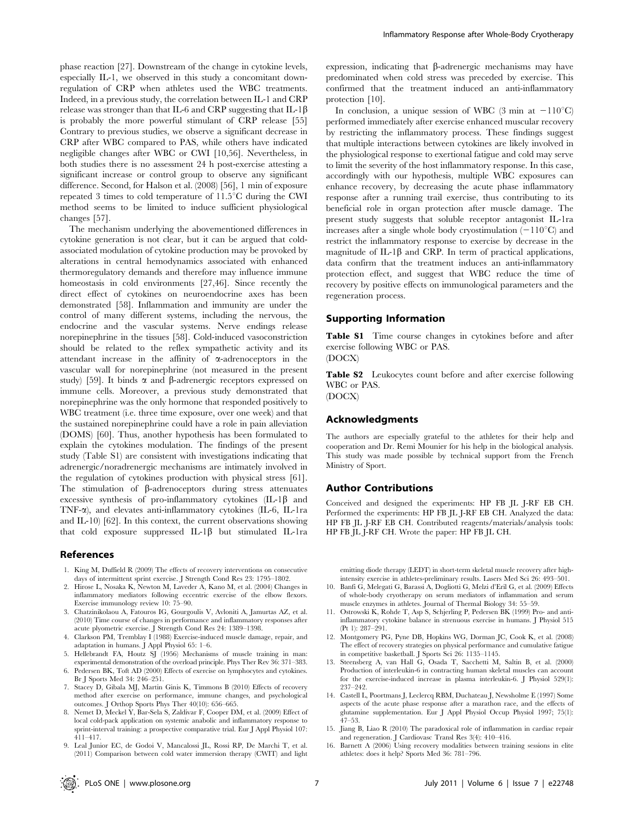phase reaction [27]. Downstream of the change in cytokine levels, especially IL-1, we observed in this study a concomitant downregulation of CRP when athletes used the WBC treatments. Indeed, in a previous study, the correlation between IL-1 and CRP release was stronger than that IL-6 and CRP suggesting that IL-1 $\beta$ is probably the more powerful stimulant of CRP release [55] Contrary to previous studies, we observe a significant decrease in CRP after WBC compared to PAS, while others have indicated negligible changes after WBC or CWI [10,56]. Nevertheless, in both studies there is no assessment 24 h post-exercise attesting a significant increase or control group to observe any significant difference. Second, for Halson et al. (2008) [56], 1 min of exposure repeated 3 times to cold temperature of  $11.5^{\circ}$ C during the CWI method seems to be limited to induce sufficient physiological changes [57].

The mechanism underlying the abovementioned differences in cytokine generation is not clear, but it can be argued that coldassociated modulation of cytokine production may be provoked by alterations in central hemodynamics associated with enhanced thermoregulatory demands and therefore may influence immune homeostasis in cold environments [27,46]. Since recently the direct effect of cytokines on neuroendocrine axes has been demonstrated [58]. Inflammation and immunity are under the control of many different systems, including the nervous, the endocrine and the vascular systems. Nerve endings release norepinephrine in the tissues [58]. Cold-induced vasoconstriction should be related to the reflex sympathetic activity and its attendant increase in the affinity of  $\alpha$ -adrenoceptors in the vascular wall for norepinephrine (not measured in the present study) [59]. It binds  $\alpha$  and  $\beta$ -adrenergic receptors expressed on immune cells. Moreover, a previous study demonstrated that norepinephrine was the only hormone that responded positively to WBC treatment (i.e. three time exposure, over one week) and that the sustained norepinephrine could have a role in pain alleviation (DOMS) [60]. Thus, another hypothesis has been formulated to explain the cytokines modulation. The findings of the present study (Table S1) are consistent with investigations indicating that adrenergic/noradrenergic mechanisms are intimately involved in the regulation of cytokines production with physical stress [61]. The stimulation of  $\beta$ -adrenoceptors during stress attenuates excessive synthesis of pro-inflammatory cytokines  $(IL-1\beta$  and TNF-a), and elevates anti-inflammatory cytokines (IL-6, IL-1ra and IL-10) [62]. In this context, the current observations showing that cold exposure suppressed IL-1 $\beta$  but stimulated IL-1ra

#### References

- 1. King M, Duffield R (2009) The effects of recovery interventions on consecutive days of intermittent sprint exercise. J Strength Cond Res 23: 1795–1802.
- 2. Hirose L, Nosaka K, Newton M, Laveder A, Kano M, et al. (2004) Changes in inflammatory mediators following eccentric exercise of the elbow flexors. Exercise immunology review 10: 75–90.
- 3. Chatzinikolaou A, Fatouros IG, Gourgoulis V, Avloniti A, Jamurtas AZ, et al. (2010) Time course of changes in performance and inflammatory responses after acute plyometric exercise. J Strength Cond Res 24: 1389–1398.
- 4. Clarkson PM, Tremblay I (1988) Exercise-induced muscle damage, repair, and adaptation in humans. J Appl Physiol 65: 1–6.
- 5. Hellebrandt FA, Houtz SJ (1956) Mechanisms of muscle training in man: experimental demonstration of the overload principle. Phys Ther Rev 36: 371–383.
- 6. Pedersen BK, Toft AD (2000) Effects of exercise on lymphocytes and cytokines. Br J Sports Med 34: 246–251.
- 7. Stacey D, Gibala MJ, Martin Ginis K, Timmons B (2010) Effects of recovery method after exercise on performance, immune changes, and psychological outcomes. J Orthop Sports Phys Ther 40(10): 656–665.
- 8. Nemet D, Meckel Y, Bar-Sela S, Zaldivar F, Cooper DM, et al. (2009) Effect of local cold-pack application on systemic anabolic and inflammatory response to sprint-interval training: a prospective comparative trial. Eur J Appl Physiol 107: 411–417.
- 9. Leal Junior EC, de Godoi V, Mancalossi JL, Rossi RP, De Marchi T, et al. (2011) Comparison between cold water immersion therapy (CWIT) and light

expression, indicating that  $\beta$ -adrenergic mechanisms may have predominated when cold stress was preceded by exercise. This confirmed that the treatment induced an anti-inflammatory protection [10].

In conclusion, a unique session of WBC (3 min at  $-110^{\circ}$ C) performed immediately after exercise enhanced muscular recovery by restricting the inflammatory process. These findings suggest that multiple interactions between cytokines are likely involved in the physiological response to exertional fatigue and cold may serve to limit the severity of the host inflammatory response. In this case, accordingly with our hypothesis, multiple WBC exposures can enhance recovery, by decreasing the acute phase inflammatory response after a running trail exercise, thus contributing to its beneficial role in organ protection after muscle damage. The present study suggests that soluble receptor antagonist IL-1ra increases after a single whole body cryostimulation  $(-110^{\circ}C)$  and restrict the inflammatory response to exercise by decrease in the magnitude of IL-1 $\beta$  and CRP. In term of practical applications, data confirm that the treatment induces an anti-inflammatory protection effect, and suggest that WBC reduce the time of recovery by positive effects on immunological parameters and the regeneration process.

#### Supporting Information

Table S1 Time course changes in cytokines before and after exercise following WBC or PAS.

(DOCX)

Table S2 Leukocytes count before and after exercise following WBC or PAS. (DOCX)

#### Acknowledgments

The authors are especially grateful to the athletes for their help and cooperation and Dr. Remi Mounier for his help in the biological analysis. This study was made possible by technical support from the French Ministry of Sport.

#### Author Contributions

Conceived and designed the experiments: HP FB JL J-RF EB CH. Performed the experiments: HP FB JL J-RF EB CH. Analyzed the data: HP FB JL J-RF EB CH. Contributed reagents/materials/analysis tools: HP FB JL J-RF CH. Wrote the paper: HP FB JL CH.

emitting diode therapy (LEDT) in short-term skeletal muscle recovery after highintensity exercise in athletes-preliminary results. Lasers Med Sci 26: 493–501.

- 10. Banfi G, Melegati G, Barassi A, Dogliotti G, Melzi d'Eril G, et al. (2009) Effects of whole-body cryotherapy on serum mediators of inflammation and serum muscle enzymes in athletes. Journal of Thermal Biology 34: 55–59.
- 11. Ostrowski K, Rohde T, Asp S, Schjerling P, Pedersen BK (1999) Pro- and antiinflammatory cytokine balance in strenuous exercise in humans. J Physiol 515 (Pt 1): 287–291.
- 12. Montgomery PG, Pyne DB, Hopkins WG, Dorman JC, Cook K, et al. (2008) The effect of recovery strategies on physical performance and cumulative fatigue in competitive basketball. J Sports Sci 26: 1135–1145.
- 13. Steensberg A, van Hall G, Osada T, Sacchetti M, Saltin B, et al. (2000) Production of interleukin-6 in contracting human skeletal muscles can account for the exercise-induced increase in plasma interleukin-6. J Physiol 529(1): 237–242.
- 14. Castell L, Poortmans J, Leclercq RBM, Duchateau J, Newsholme E (1997) Some aspects of the acute phase response after a marathon race, and the effects of glutamine supplementation. Eur J Appl Physiol Occup Physiol 1997; 75(1): 47–53.
- 15. Jiang B, Liao R (2010) The paradoxical role of inflammation in cardiac repair and regeneration. J Cardiovasc Transl Res 3(4): 410–416.
- 16. Barnett A (2006) Using recovery modalities between training sessions in elite athletes: does it help? Sports Med 36: 781–796.